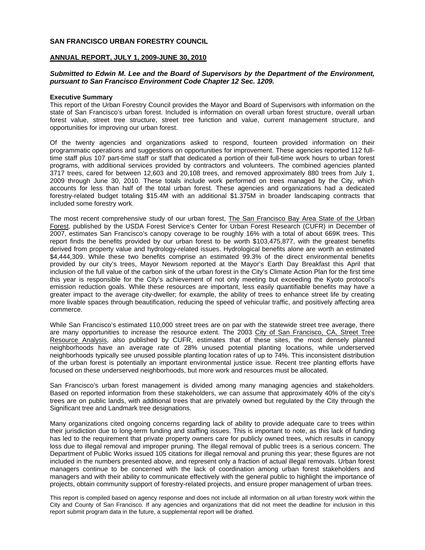### **SAN FRANCISCO URBAN FORESTRY COUNCIL**

## **ANNUAL REPORT, JULY 1, 2009-JUNE 30, 2010**

## *Submitted to Edwin M. Lee and the Board of Supervisors by the Department of the Environment, pursuant to San Francisco Environment Code Chapter 12 Sec. 1209.*

#### **Executive Summary**

This report of the Urban Forestry Council provides the Mayor and Board of Supervisors with information on the state of San Francisco's urban forest. Included is information on overall urban forest structure, overall urban forest value, street tree structure, street tree function and value, current management structure, and opportunities for improving our urban forest.

Of the twenty agencies and organizations asked to respond, fourteen provided information on their programmatic operations and suggestions on opportunities for improvement. These agencies reported 112 fulltime staff plus 107 part-time staff or staff that dedicated a portion of their full-time work hours to urban forest programs, with additional services provided by contractors and volunteers. The combined agencies planted 3717 trees, cared for between 12,603 and 20,108 trees, and removed approximately 880 trees from July 1, 2009 through June 30, 2010. These totals include work performed on trees managed by the City, which accounts for less than half of the total urban forest. These agencies and organizations had a dedicated forestry-related budget totaling \$15.4M with an additional \$1.375M in broader landscaping contracts that included some forestry work.

The most recent comprehensive study of our urban forest, The San Francisco Bay Area State of the Urban Forest, published by the USDA Forest Service's Center for Urban Forest Research (CUFR) in December of 2007, estimates San Francisco's canopy coverage to be roughly 16% with a total of about 669K trees. This report finds the benefits provided by our urban forest to be worth \$103,475,877, with the greatest benefits derived from property value and hydrology-related issues. Hydrological benefits alone are worth an estimated \$4,444,309. While these two benefits comprise an estimated 99.3% of the direct environmental benefits provided by our city's trees, Mayor Newsom reported at the Mayor's Earth Day Breakfast this April that inclusion of the full value of the carbon sink of the urban forest in the City's Climate Action Plan for the first time this year is responsible for the City's achievement of not only meeting but exceeding the Kyoto protocol's emission reduction goals. While these resources are important, less easily quantifiable benefits may have a greater impact to the average city-dweller; for example, the ability of trees to enhance street life by creating more livable spaces through beautification, reducing the speed of vehicular traffic, and positively affecting area commerce.

While San Francisco's estimated 110,000 street trees are on par with the statewide street tree average, there are many opportunities to increase the resource extent. The 2003 City of San Francisco, CA, Street Tree Resource Analysis, also published by CUFR, estimates that of these sites, the most densely planted neighborhoods have an average rate of 28% unused potential planting locations, while underserved neighborhoods typically see unused possible planting location rates of up to 74%. This inconsistent distribution of the urban forest is potentially an important environmental justice issue. Recent tree planting efforts have focused on these underserved neighborhoods, but more work and resources must be allocated.

San Francisco's urban forest management is divided among many managing agencies and stakeholders. Based on reported information from these stakeholders, we can assume that approximately 40% of the city's trees are on public lands, with additional trees that are privately owned but regulated by the City through the Significant tree and Landmark tree designations.

Many organizations cited ongoing concerns regarding lack of ability to provide adequate care to trees within their jurisdiction due to long-term funding and staffing issues. This is important to note, as this lack of funding has led to the requirement that private property owners care for publicly owned trees, which results in canopy loss due to illegal removal and improper pruning. The illegal removal of public trees is a serious concern. The Department of Public Works issued 105 citations for illegal removal and pruning this year; these figures are not included in the numbers presented above, and represent only a fraction of actual illegal removals. Urban forest managers continue to be concerned with the lack of coordination among urban forest stakeholders and managers and with their ability to communicate effectively with the general public to highlight the importance of projects, obtain community support of forestry-related projects, and ensure proper management of urban trees.

This report is compiled based on agency response and does not include all information on all urban forestry work within the City and County of San Francisco. If any agencies and organizations that did not meet the deadline for inclusion in this report submit program data in the future, a supplemental report will be drafted.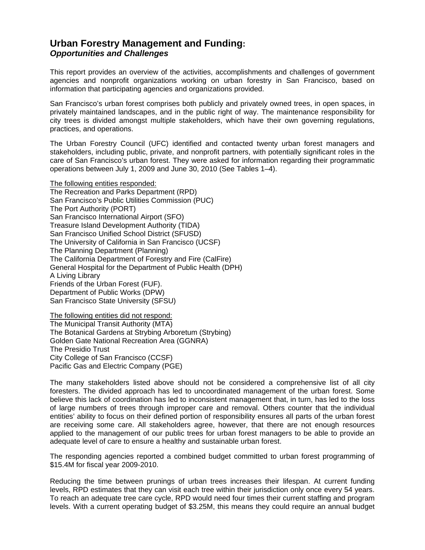## **Urban Forestry Management and Funding:**  *Opportunities and Challenges*

This report provides an overview of the activities, accomplishments and challenges of government agencies and nonprofit organizations working on urban forestry in San Francisco, based on information that participating agencies and organizations provided.

San Francisco's urban forest comprises both publicly and privately owned trees, in open spaces, in privately maintained landscapes, and in the public right of way. The maintenance responsibility for city trees is divided amongst multiple stakeholders, which have their own governing regulations, practices, and operations.

The Urban Forestry Council (UFC) identified and contacted twenty urban forest managers and stakeholders, including public, private, and nonprofit partners, with potentially significant roles in the care of San Francisco's urban forest. They were asked for information regarding their programmatic operations between July 1, 2009 and June 30, 2010 (See Tables 1–4).

The following entities responded: The Recreation and Parks Department (RPD) San Francisco's Public Utilities Commission (PUC) The Port Authority (PORT) San Francisco International Airport (SFO) Treasure Island Development Authority (TIDA) San Francisco Unified School District (SFUSD) The University of California in San Francisco (UCSF) The Planning Department (Planning) The California Department of Forestry and Fire (CalFire) General Hospital for the Department of Public Health (DPH) A Living Library Friends of the Urban Forest (FUF). Department of Public Works (DPW) San Francisco State University (SFSU)

The following entities did not respond: The Municipal Transit Authority (MTA) The Botanical Gardens at Strybing Arboretum (Strybing) Golden Gate National Recreation Area (GGNRA) The Presidio Trust City College of San Francisco (CCSF) Pacific Gas and Electric Company (PGE)

The many stakeholders listed above should not be considered a comprehensive list of all city foresters. The divided approach has led to uncoordinated management of the urban forest. Some believe this lack of coordination has led to inconsistent management that, in turn, has led to the loss of large numbers of trees through improper care and removal. Others counter that the individual entities' ability to focus on their defined portion of responsibility ensures all parts of the urban forest are receiving some care. All stakeholders agree, however, that there are not enough resources applied to the management of our public trees for urban forest managers to be able to provide an adequate level of care to ensure a healthy and sustainable urban forest.

The responding agencies reported a combined budget committed to urban forest programming of \$15.4M for fiscal year 2009-2010.

Reducing the time between prunings of urban trees increases their lifespan. At current funding levels, RPD estimates that they can visit each tree within their jurisdiction only once every 54 years. To reach an adequate tree care cycle, RPD would need four times their current staffing and program levels. With a current operating budget of \$3.25M, this means they could require an annual budget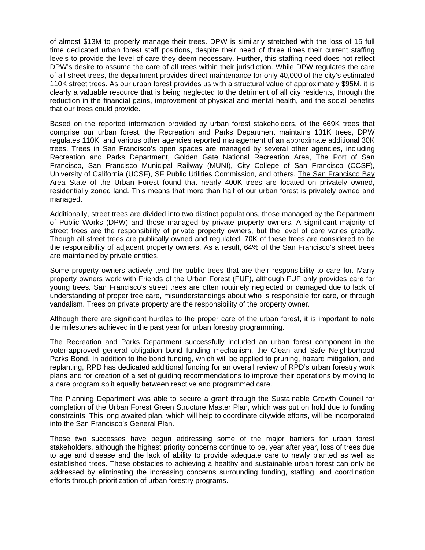of almost \$13M to properly manage their trees. DPW is similarly stretched with the loss of 15 full time dedicated urban forest staff positions, despite their need of three times their current staffing levels to provide the level of care they deem necessary. Further, this staffing need does not reflect DPW's desire to assume the care of all trees within their jurisdiction. While DPW regulates the care of all street trees, the department provides direct maintenance for only 40,000 of the city's estimated 110K street trees. As our urban forest provides us with a structural value of approximately \$95M, it is clearly a valuable resource that is being neglected to the detriment of all city residents, through the reduction in the financial gains, improvement of physical and mental health, and the social benefits that our trees could provide.

Based on the reported information provided by urban forest stakeholders, of the 669K trees that comprise our urban forest, the Recreation and Parks Department maintains 131K trees, DPW regulates 110K, and various other agencies reported management of an approximate additional 30K trees. Trees in San Francisco's open spaces are managed by several other agencies, including Recreation and Parks Department, Golden Gate National Recreation Area, The Port of San Francisco, San Francisco Municipal Railway (MUNI), City College of San Francisco (CCSF), University of California (UCSF), SF Public Utilities Commission, and others. The San Francisco Bay Area State of the Urban Forest found that nearly 400K trees are located on privately owned, residentially zoned land. This means that more than half of our urban forest is privately owned and managed.

Additionally, street trees are divided into two distinct populations, those managed by the Department of Public Works (DPW) and those managed by private property owners. A significant majority of street trees are the responsibility of private property owners, but the level of care varies greatly. Though all street trees are publically owned and regulated, 70K of these trees are considered to be the responsibility of adjacent property owners. As a result, 64% of the San Francisco's street trees are maintained by private entities.

Some property owners actively tend the public trees that are their responsibility to care for. Many property owners work with Friends of the Urban Forest (FUF), although FUF only provides care for young trees. San Francisco's street trees are often routinely neglected or damaged due to lack of understanding of proper tree care, misunderstandings about who is responsible for care, or through vandalism. Trees on private property are the responsibility of the property owner.

Although there are significant hurdles to the proper care of the urban forest, it is important to note the milestones achieved in the past year for urban forestry programming.

The Recreation and Parks Department successfully included an urban forest component in the voter-approved general obligation bond funding mechanism, the Clean and Safe Neighborhood Parks Bond. In addition to the bond funding, which will be applied to pruning, hazard mitigation, and replanting, RPD has dedicated additional funding for an overall review of RPD's urban forestry work plans and for creation of a set of guiding recommendations to improve their operations by moving to a care program split equally between reactive and programmed care.

The Planning Department was able to secure a grant through the Sustainable Growth Council for completion of the Urban Forest Green Structure Master Plan, which was put on hold due to funding constraints. This long awaited plan, which will help to coordinate citywide efforts, will be incorporated into the San Francisco's General Plan.

These two successes have begun addressing some of the major barriers for urban forest stakeholders, although the highest priority concerns continue to be, year after year, loss of trees due to age and disease and the lack of ability to provide adequate care to newly planted as well as established trees. These obstacles to achieving a healthy and sustainable urban forest can only be addressed by eliminating the increasing concerns surrounding funding, staffing, and coordination efforts through prioritization of urban forestry programs.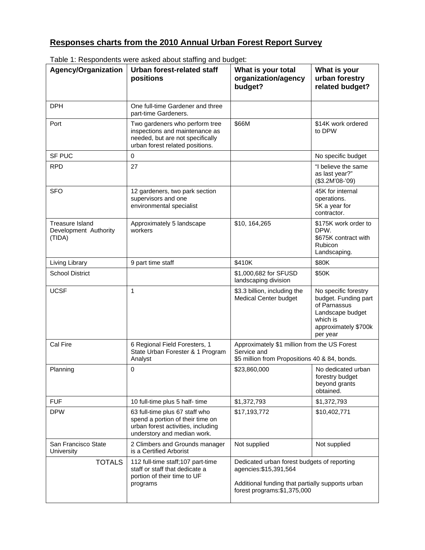# **Responses charts from the 2010 Annual Urban Forest Report Survey**

| <b>Agency/Organization</b>                                | rapid 1. reoportaonto froi o aottoa apoat olannig ana baagot.<br><b>Urban forest-related staff</b><br>positions                         | What is your total<br>organization/agency<br>budget?                                                                                                      | What is your<br>urban forestry<br>related budget?                                                                                |  |
|-----------------------------------------------------------|-----------------------------------------------------------------------------------------------------------------------------------------|-----------------------------------------------------------------------------------------------------------------------------------------------------------|----------------------------------------------------------------------------------------------------------------------------------|--|
| <b>DPH</b>                                                | One full-time Gardener and three<br>part-time Gardeners.                                                                                |                                                                                                                                                           |                                                                                                                                  |  |
| Port                                                      | Two gardeners who perform tree<br>inspections and maintenance as<br>needed, but are not specifically<br>urban forest related positions. | \$66M                                                                                                                                                     | \$14K work ordered<br>to DPW                                                                                                     |  |
| SF PUC                                                    | 0                                                                                                                                       |                                                                                                                                                           | No specific budget                                                                                                               |  |
| <b>RPD</b>                                                | 27                                                                                                                                      |                                                                                                                                                           | "I believe the same<br>as last year?"<br>(\$3.2M'08-'09)                                                                         |  |
| <b>SFO</b>                                                | 12 gardeners, two park section<br>supervisors and one<br>environmental specialist                                                       |                                                                                                                                                           | 45K for internal<br>operations.<br>5K a year for<br>contractor.                                                                  |  |
| <b>Treasure Island</b><br>Development Authority<br>(TIDA) | Approximately 5 landscape<br>workers                                                                                                    | \$10, 164, 265                                                                                                                                            | \$175K work order to<br>DPW.<br>\$675K contract with<br><b>Rubicon</b><br>Landscaping.                                           |  |
| Living Library                                            | 9 part time staff                                                                                                                       | \$410K                                                                                                                                                    | \$80K                                                                                                                            |  |
| School District                                           |                                                                                                                                         | \$1,000,682 for SFUSD<br>landscaping division                                                                                                             | \$50K                                                                                                                            |  |
| <b>UCSF</b>                                               | 1                                                                                                                                       | \$3.3 billion, including the<br><b>Medical Center budget</b>                                                                                              | No specific forestry<br>budget. Funding part<br>of Parnassus<br>Landscape budget<br>which is<br>approximately \$700k<br>per year |  |
| Cal Fire                                                  | 6 Regional Field Foresters, 1<br>State Urban Forester & 1 Program<br>Analyst                                                            | Approximately \$1 million from the US Forest<br>Service and<br>\$5 million from Propositions 40 & 84, bonds.                                              |                                                                                                                                  |  |
| Planning                                                  | 0                                                                                                                                       | \$23,860,000                                                                                                                                              | No dedicated urban<br>forestry budget<br>beyond grants<br>obtained.                                                              |  |
| <b>FUF</b>                                                | 10 full-time plus 5 half- time                                                                                                          | \$1,372,793                                                                                                                                               | \$1,372,793                                                                                                                      |  |
| <b>DPW</b>                                                | 63 full-time plus 67 staff who<br>spend a portion of their time on<br>urban forest activities, including<br>understory and median work. | \$17,193,772                                                                                                                                              | \$10,402,771                                                                                                                     |  |
| San Francisco State<br>University                         | 2 Climbers and Grounds manager<br>is a Certified Arborist                                                                               | Not supplied                                                                                                                                              | Not supplied                                                                                                                     |  |
| <b>TOTALS</b>                                             | 112 full-time staff; 107 part-time<br>staff or staff that dedicate a<br>portion of their time to UF<br>programs                         | Dedicated urban forest budgets of reporting<br>agencies: \$15,391,564<br>Additional funding that partially supports urban<br>forest programs: \$1,375,000 |                                                                                                                                  |  |

Table 1: Respondents were asked about staffing and budget: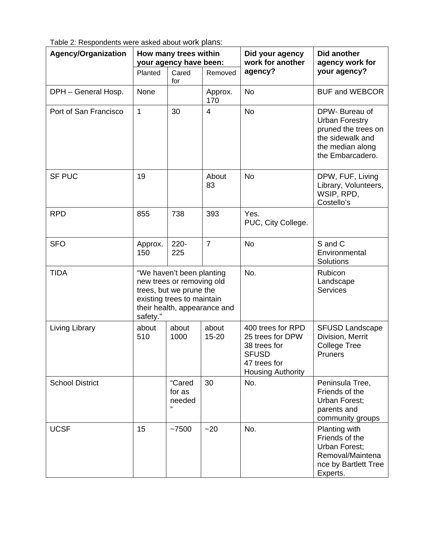|  | Table 2: Respondents were asked about work plans: |  |  |  |  |
|--|---------------------------------------------------|--|--|--|--|
|--|---------------------------------------------------|--|--|--|--|

| <b>Agency/Organization</b> | How many trees within<br>your agency have been:                                                                                                             |                            |                    | Did your agency<br>work for another                                                                               | Did another<br>agency work for                                                                                             |  |
|----------------------------|-------------------------------------------------------------------------------------------------------------------------------------------------------------|----------------------------|--------------------|-------------------------------------------------------------------------------------------------------------------|----------------------------------------------------------------------------------------------------------------------------|--|
|                            | Planted                                                                                                                                                     | Cared<br>for               | Removed            | agency?                                                                                                           | your agency?                                                                                                               |  |
| DPH - General Hosp.        | None                                                                                                                                                        |                            | Approx.<br>170     | <b>No</b>                                                                                                         | <b>BUF and WEBCOR</b>                                                                                                      |  |
| Port of San Francisco      | 1                                                                                                                                                           | 30                         | 4                  | <b>No</b>                                                                                                         | DPW- Bureau of<br><b>Urban Forestry</b><br>pruned the trees on<br>the sidewalk and<br>the median along<br>the Embarcadero. |  |
| <b>SF PUC</b>              | 19                                                                                                                                                          |                            | About<br>83        | <b>No</b>                                                                                                         | DPW, FUF, Living<br>Library, Volunteers,<br>WSIP, RPD,<br>Costello's                                                       |  |
| <b>RPD</b>                 | 855                                                                                                                                                         | 738                        | 393                | Yes.<br>PUC, City College.                                                                                        |                                                                                                                            |  |
| <b>SFO</b>                 | Approx.<br>150                                                                                                                                              | $220 -$<br>225             | $\overline{7}$     | No                                                                                                                | S and C<br>Environmental<br>Solutions                                                                                      |  |
| <b>TIDA</b>                | "We haven't been planting<br>new trees or removing old<br>trees, but we prune the<br>existing trees to maintain<br>their health, appearance and<br>safety." |                            | No.                | Rubicon<br>Landscape<br><b>Services</b>                                                                           |                                                                                                                            |  |
| Living Library             | about<br>510                                                                                                                                                | about<br>1000              | about<br>$15 - 20$ | 400 trees for RPD<br>25 trees for DPW<br>38 trees for<br><b>SFUSD</b><br>47 trees for<br><b>Housing Authority</b> | <b>SFUSD Landscape</b><br>Division, Merrit<br><b>College Tree</b><br>Pruners                                               |  |
| <b>School District</b>     |                                                                                                                                                             | "Cared<br>for as<br>needed | 30                 | No.                                                                                                               | Peninsula Tree,<br>Friends of the<br>Urban Forest;<br>parents and<br>community groups                                      |  |
| <b>UCSF</b>                | 15                                                                                                                                                          | ~17500                     | $-20$              | No.                                                                                                               | Planting with<br>Friends of the<br>Urban Forest;<br>Removal/Maintena<br>nce by Bartlett Tree<br>Experts.                   |  |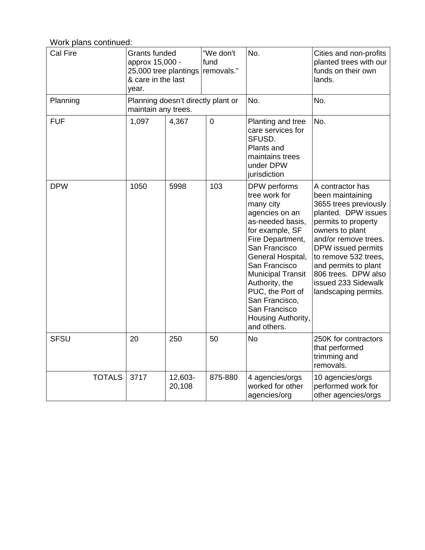Work plans continued:

| Cal Fire      | Grants funded<br>approx 15,000 -<br>25,000 tree plantings<br>& care in the last<br>year. |                   | "We don't<br>fund<br>removals." | No.                                                                                                                                                                                                                                                                                                                      | Cities and non-profits<br>planted trees with our<br>funds on their own<br>lands.                                                                                                                                                                                                                   |
|---------------|------------------------------------------------------------------------------------------|-------------------|---------------------------------|--------------------------------------------------------------------------------------------------------------------------------------------------------------------------------------------------------------------------------------------------------------------------------------------------------------------------|----------------------------------------------------------------------------------------------------------------------------------------------------------------------------------------------------------------------------------------------------------------------------------------------------|
| Planning      | Planning doesn't directly plant or<br>maintain any trees.                                |                   |                                 | No.                                                                                                                                                                                                                                                                                                                      | No.                                                                                                                                                                                                                                                                                                |
| <b>FUF</b>    | 1,097                                                                                    | 4,367             | $\overline{0}$                  | Planting and tree<br>care services for<br>SFUSD.<br>Plants and<br>maintains trees<br>under DPW<br>jurisdiction                                                                                                                                                                                                           | No.                                                                                                                                                                                                                                                                                                |
| <b>DPW</b>    | 1050                                                                                     | 5998              | 103                             | DPW performs<br>tree work for<br>many city<br>agencies on an<br>as-needed basis,<br>for example, SF<br>Fire Department,<br>San Francisco<br>General Hospital,<br>San Francisco<br><b>Municipal Transit</b><br>Authority, the<br>PUC, the Port of<br>San Francisco,<br>San Francisco<br>Housing Authority,<br>and others. | A contractor has<br>been maintaining<br>3655 trees previously<br>planted. DPW issues<br>permits to property<br>owners to plant<br>and/or remove trees.<br>DPW issued permits<br>to remove 532 trees,<br>and permits to plant<br>806 trees. DPW also<br>issued 233 Sidewalk<br>landscaping permits. |
| <b>SFSU</b>   | 20                                                                                       | 250               | 50                              | <b>No</b>                                                                                                                                                                                                                                                                                                                | 250K for contractors<br>that performed<br>trimming and<br>removals.                                                                                                                                                                                                                                |
| <b>TOTALS</b> | 3717                                                                                     | 12,603-<br>20,108 | 875-880                         | 4 agencies/orgs<br>worked for other<br>agencies/org                                                                                                                                                                                                                                                                      | 10 agencies/orgs<br>performed work for<br>other agencies/orgs                                                                                                                                                                                                                                      |